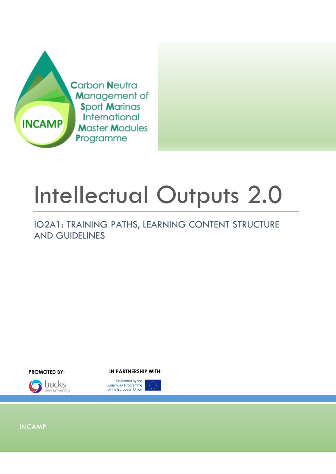

# Intellectual Outputs 2.0

IO2A1: TRAINING PATHS, LEARNING CONTENT STRUCTURE AND GUIDELINES



**PROMOTED BY: IN PARTNERSHIP WITH:**



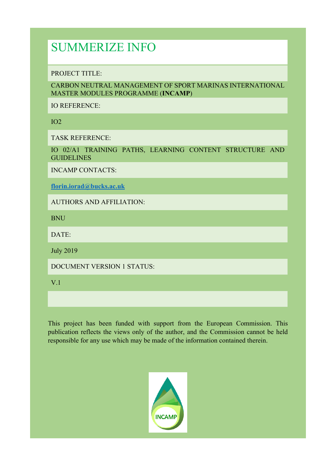## SUMMERIZE INFO

PROJECT TITLE:

CARBON NEUTRAL MANAGEMENT OF SPORT MARINAS INTERNATIONAL MASTER MODULES PROGRAMME (**INCAMP**)

IO REFERENCE:

IO2

TASK REFERENCE:

IO 02/A1 TRAINING PATHS, LEARNING CONTENT STRUCTURE AND **GUIDELINES** 

INCAMP CONTACTS:

**florin.iorad@bucks.ac.uk**

AUTHORS AND AFFILIATION:

**BNU** 

DATE:

July 2019

DOCUMENT VERSION 1 STATUS:

V.1

This project has been funded with support from the European Commission. This publication reflects the views only of the author, and the Commission cannot be held responsible for any use which may be made of the information contained therein.

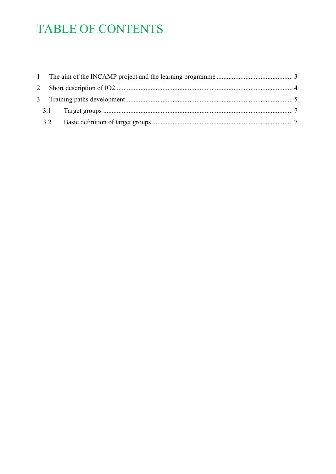# TABLE OF CONTENTS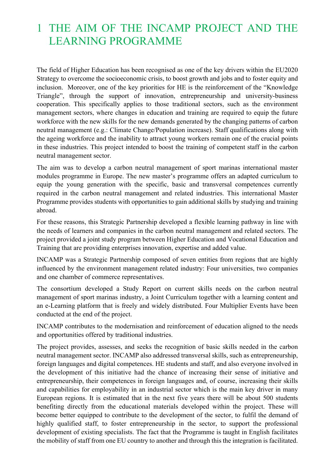### 1 THE AIM OF THE INCAMP PROJECT AND THE LEARNING PROGRAMME

The field of Higher Education has been recognised as one of the key drivers within the EU2020 Strategy to overcome the socioeconomic crisis, to boost growth and jobs and to foster equity and inclusion. Moreover, one of the key priorities for HE is the reinforcement of the "Knowledge Triangle", through the support of innovation, entrepreneurship and university-business cooperation. This specifically applies to those traditional sectors, such as the environment management sectors, where changes in education and training are required to equip the future workforce with the new skills for the new demands generated by the changing patterns of carbon neutral management (e.g.: Climate Change/Population increase). Staff qualifications along with the ageing workforce and the inability to attract young workers remain one of the crucial points in these industries. This project intended to boost the training of competent staff in the carbon neutral management sector.

The aim was to develop a carbon neutral management of sport marinas international master modules programme in Europe. The new master's programme offers an adapted curriculum to equip the young generation with the specific, basic and transversal competences currently required in the carbon neutral management and related industries. This international Master Programme provides students with opportunities to gain additional skills by studying and training abroad.

For these reasons, this Strategic Partnership developed a flexible learning pathway in line with the needs of learners and companies in the carbon neutral management and related sectors. The project provided a joint study program between Higher Education and Vocational Education and Training that are providing enterprises innovation, expertise and added value.

INCAMP was a Strategic Partnership composed of seven entities from regions that are highly influenced by the environment management related industry: Four universities, two companies and one chamber of commerce representatives.

The consortium developed a Study Report on current skills needs on the carbon neutral management of sport marinas industry, a Joint Curriculum together with a learning content and an e-Learning platform that is freely and widely distributed. Four Multiplier Events have been conducted at the end of the project.

INCAMP contributes to the modernisation and reinforcement of education aligned to the needs and opportunities offered by traditional industries.

The project provides, assesses, and seeks the recognition of basic skills needed in the carbon neutral management sector. INCAMP also addressed transversal skills, such as entrepreneurship, foreign languages and digital competences. HE students and staff, and also everyone involved in the development of this initiative had the chance of increasing their sense of initiative and entrepreneurship, their competences in foreign languages and, of course, increasing their skills and capabilities for employability in an industrial sector which is the main key driver in many European regions. It is estimated that in the next five years there will be about 500 students benefiting directly from the educational materials developed within the project. These will become better equipped to contribute to the development of the sector, to fulfil the demand of highly qualified staff, to foster entrepreneurship in the sector, to support the professional development of existing specialists. The fact that the Programme is taught in English facilitates the mobility of staff from one EU country to another and through this the integration is facilitated.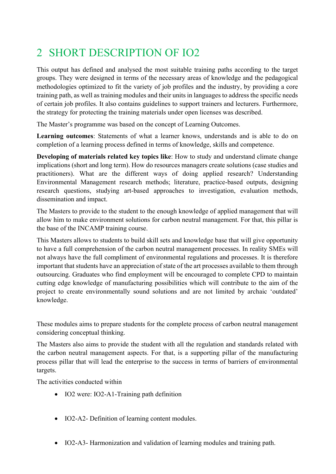## 2 SHORT DESCRIPTION OF IO2

This output has defined and analysed the most suitable training paths according to the target groups. They were designed in terms of the necessary areas of knowledge and the pedagogical methodologies optimized to fit the variety of job profiles and the industry, by providing a core training path, as well as training modules and their units in languages to address the specific needs of certain job profiles. It also contains guidelines to support trainers and lecturers. Furthermore, the strategy for protecting the training materials under open licenses was described.

The Master's programme was based on the concept of Learning Outcomes.

**Learning outcomes**: Statements of what a learner knows, understands and is able to do on completion of a learning process defined in terms of knowledge, skills and competence.

**Developing of materials related key topics like**: How to study and understand climate change implications (short and long term). How do resources managers create solutions (case studies and practitioners). What are the different ways of doing applied research? Understanding Environmental Management research methods; literature, practice-based outputs, designing research questions, studying art-based approaches to investigation, evaluation methods, dissemination and impact.

The Masters to provide to the student to the enough knowledge of applied management that will allow him to make environment solutions for carbon neutral management. For that, this pillar is the base of the INCAMP training course.

This Masters allows to students to build skill sets and knowledge base that will give opportunity to have a full comprehension of the carbon neutral management processes. In reality SMEs will not always have the full compliment of environmental regulations and processes. It is therefore important that students have an appreciation of state of the art processes available to them through outsourcing. Graduates who find employment will be encouraged to complete CPD to maintain cutting edge knowledge of manufacturing possibilities which will contribute to the aim of the project to create environmentally sound solutions and are not limited by archaic 'outdated' knowledge.

These modules aims to prepare students for the complete process of carbon neutral management considering conceptual thinking.

The Masters also aims to provide the student with all the regulation and standards related with the carbon neutral management aspects. For that, is a supporting pillar of the manufacturing process pillar that will lead the enterprise to the success in terms of barriers of environmental targets.

The activities conducted within

- IO2 were: IO2-A1-Training path definition
- IO2-A2- Definition of learning content modules.
- IO2-A3- Harmonization and validation of learning modules and training path.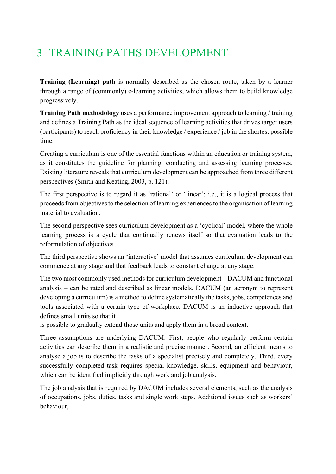## 3 TRAINING PATHS DEVELOPMENT

**Training (Learning) path** is normally described as the chosen route, taken by a learner through a range of (commonly) e-learning activities, which allows them to build knowledge progressively.

**Training Path methodology** uses a performance improvement approach to learning / training and defines a Training Path as the ideal sequence of learning activities that drives target users (participants) to reach proficiency in their knowledge / experience / job in the shortest possible time.

Creating a curriculum is one of the essential functions within an education or training system, as it constitutes the guideline for planning, conducting and assessing learning processes. Existing literature reveals that curriculum development can be approached from three different perspectives (Smith and Keating, 2003, p. 121):

The first perspective is to regard it as 'rational' or 'linear': i.e., it is a logical process that proceeds from objectives to the selection of learning experiences to the organisation of learning material to evaluation.

The second perspective sees curriculum development as a 'cyclical' model, where the whole learning process is a cycle that continually renews itself so that evaluation leads to the reformulation of objectives.

The third perspective shows an 'interactive' model that assumes curriculum development can commence at any stage and that feedback leads to constant change at any stage.

The two most commonly used methods for curriculum development – DACUM and functional analysis – can be rated and described as linear models. DACUM (an acronym to represent developing a curriculum) is a method to define systematically the tasks, jobs, competences and tools associated with a certain type of workplace. DACUM is an inductive approach that defines small units so that it

is possible to gradually extend those units and apply them in a broad context.

Three assumptions are underlying DACUM: First, people who regularly perform certain activities can describe them in a realistic and precise manner. Second, an efficient means to analyse a job is to describe the tasks of a specialist precisely and completely. Third, every successfully completed task requires special knowledge, skills, equipment and behaviour, which can be identified implicitly through work and job analysis.

The job analysis that is required by DACUM includes several elements, such as the analysis of occupations, jobs, duties, tasks and single work steps. Additional issues such as workers' behaviour,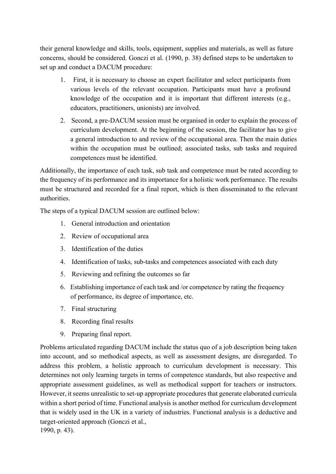their general knowledge and skills, tools, equipment, supplies and materials, as well as future concerns, should be considered. Gonczi et al. (1990, p. 38) defined steps to be undertaken to set up and conduct a DACUM procedure:

- 1. First, it is necessary to choose an expert facilitator and select participants from various levels of the relevant occupation. Participants must have a profound knowledge of the occupation and it is important that different interests (e.g., educators, practitioners, unionists) are involved.
- 2. Second, a pre-DACUM session must be organised in order to explain the process of curriculum development. At the beginning of the session, the facilitator has to give a general introduction to and review of the occupational area. Then the main duties within the occupation must be outlined; associated tasks, sub tasks and required competences must be identified.

Additionally, the importance of each task, sub task and competence must be rated according to the frequency of its performance and its importance for a holistic work performance. The results must be structured and recorded for a final report, which is then disseminated to the relevant authorities.

The steps of a typical DACUM session are outlined below:

- 1. General introduction and orientation
- 2. Review of occupational area
- 3. Identification of the duties
- 4. Identification of tasks, sub-tasks and competences associated with each duty
- 5. Reviewing and refining the outcomes so far
- 6. Establishing importance of each task and /or competence by rating the frequency of performance, its degree of importance, etc.
- 7. Final structuring
- 8. Recording final results
- 9. Preparing final report.

Problems articulated regarding DACUM include the status quo of a job description being taken into account, and so methodical aspects, as well as assessment designs, are disregarded. To address this problem, a holistic approach to curriculum development is necessary. This determines not only learning targets in terms of competence standards, but also respective and appropriate assessment guidelines, as well as methodical support for teachers or instructors. However, it seems unrealistic to set-up appropriate procedures that generate elaborated curricula within a short period of time. Functional analysis is another method for curriculum development that is widely used in the UK in a variety of industries. Functional analysis is a deductive and target-oriented approach (Gonczi et al., 1990, p. 43).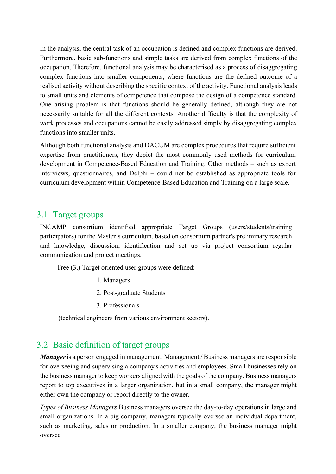In the analysis, the central task of an occupation is defined and complex functions are derived. Furthermore, basic sub-functions and simple tasks are derived from complex functions of the occupation. Therefore, functional analysis may be characterised as a process of disaggregating complex functions into smaller components, where functions are the defined outcome of a realised activity without describing the specific context of the activity. Functional analysis leads to small units and elements of competence that compose the design of a competence standard. One arising problem is that functions should be generally defined, although they are not necessarily suitable for all the different contexts. Another difficulty is that the complexity of work processes and occupations cannot be easily addressed simply by disaggregating complex functions into smaller units.

Although both functional analysis and DACUM are complex procedures that require sufficient expertise from practitioners, they depict the most commonly used methods for curriculum development in Competence-Based Education and Training. Other methods – such as expert interviews, questionnaires, and Delphi – could not be established as appropriate tools for curriculum development within Competence-Based Education and Training on a large scale.

### 3.1 Target groups

INCAMP consortium identified appropriate Target Groups (users/students/training participators) for the Master's curriculum, based on consortium partner's preliminary research and knowledge, discussion, identification and set up via project consortium regular communication and project meetings.

Tree (3.) Target oriented user groups were defined:

- 1. Managers
- 2. Post-graduate Students
- 3. Professionals

(technical engineers from various environment sectors).

### 3.2 Basic definition of target groups

*Manager*is a person engaged in management. Management / Business managers are responsible for overseeing and supervising a company's activities and employees. Small businesses rely on the business manager to keep workers aligned with the goals of the company. Business managers report to top executives in a larger organization, but in a small company, the manager might either own the company or report directly to the owner.

*Types of Business Managers* Business managers oversee the day-to-day operations in large and small organizations. In a big company, managers typically oversee an individual department, such as marketing, sales or production. In a smaller company, the business manager might oversee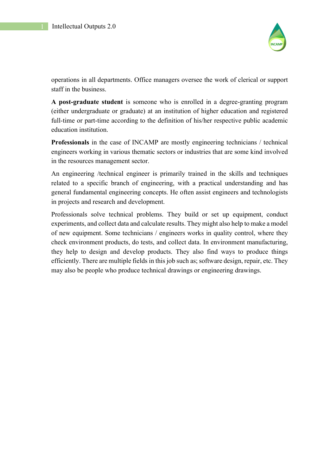

operations in all departments. Office managers oversee the work of clerical or support staff in the business.

**A post-graduate student** is someone who is enrolled in a degree-granting program (either undergraduate or graduate) at an institution of higher education and registered full-time or part-time according to the definition of his/her respective public academic education institution.

**Professionals** in the case of INCAMP are mostly engineering technicians / technical engineers working in various thematic sectors or industries that are some kind involved in the resources management sector.

An engineering /technical engineer is primarily trained in the skills and techniques related to a specific branch of engineering, with a practical understanding and has general fundamental engineering concepts. He often assist engineers and technologists in projects and research and development.

Professionals solve technical problems. They build or set up equipment, conduct experiments, and collect data and calculate results. They might also help to make a model of new equipment. Some technicians / engineers works in quality control, where they check environment products, do tests, and collect data. In environment manufacturing, they help to design and develop products. They also find ways to produce things efficiently. There are multiple fields in this job such as; software design, repair, etc. They may also be people who produce technical drawings or engineering drawings.